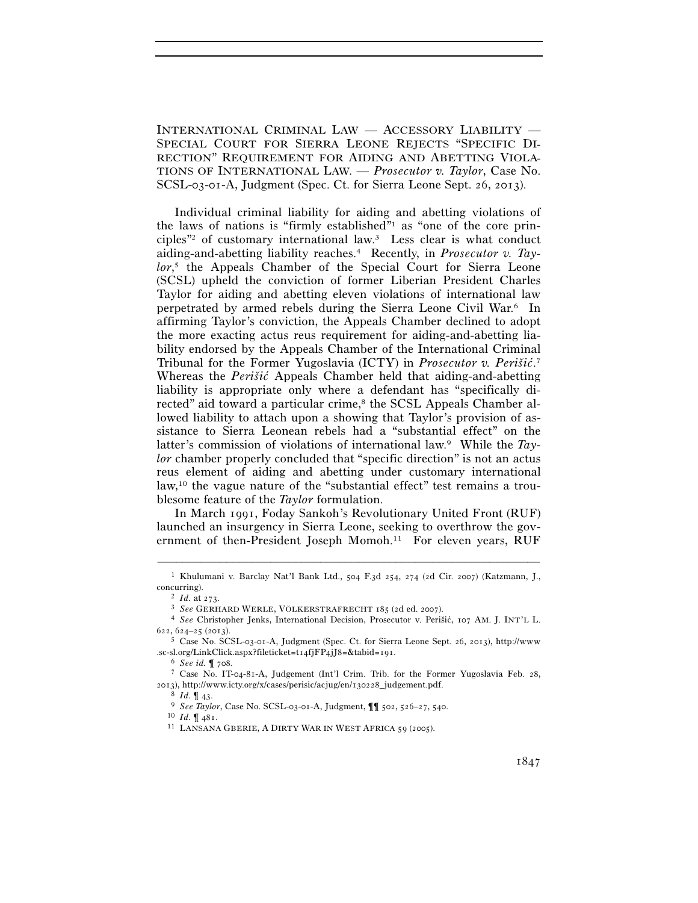INTERNATIONAL CRIMINAL LAW — ACCESSORY LIABILITY — SPECIAL COURT FOR SIERRA LEONE REJECTS "SPECIFIC DI-RECTION" REQUIREMENT FOR AIDING AND ABETTING VIOLA-TIONS OF INTERNATIONAL LAW. — *Prosecutor v. Taylor*, Case No. SCSL-03-01-A, Judgment (Spec. Ct. for Sierra Leone Sept. 26, 2013).

Individual criminal liability for aiding and abetting violations of the laws of nations is "firmly established"1 as "one of the core principles"2 of customary international law.3 Less clear is what conduct aiding-and-abetting liability reaches.4 Recently, in *Prosecutor v. Taylor*, 5 the Appeals Chamber of the Special Court for Sierra Leone (SCSL) upheld the conviction of former Liberian President Charles Taylor for aiding and abetting eleven violations of international law perpetrated by armed rebels during the Sierra Leone Civil War.6 In affirming Taylor's conviction, the Appeals Chamber declined to adopt the more exacting actus reus requirement for aiding-and-abetting liability endorsed by the Appeals Chamber of the International Criminal Tribunal for the Former Yugoslavia (ICTY) in *Prosecutor v. Perišic´*. 7 Whereas the *Perišic* Appeals Chamber held that aiding-and-abetting liability is appropriate only where a defendant has "specifically directed" aid toward a particular crime,<sup>8</sup> the SCSL Appeals Chamber allowed liability to attach upon a showing that Taylor's provision of assistance to Sierra Leonean rebels had a "substantial effect" on the latter's commission of violations of international law.9 While the *Taylor* chamber properly concluded that "specific direction" is not an actus reus element of aiding and abetting under customary international law,10 the vague nature of the "substantial effect" test remains a troublesome feature of the *Taylor* formulation.

In March 1991, Foday Sankoh's Revolutionary United Front (RUF) launched an insurgency in Sierra Leone, seeking to overthrow the government of then-President Joseph Momoh.<sup>11</sup> For eleven years, RUF

<sup>–––––––––––––––––––––––––––––––––––––––––––––––––––––––––––––</sup> 1 Khulumani v. Barclay Nat'l Bank Ltd., 504 F.3d 254, 274 (2d Cir. 2007) (Katzmann, J., concurring). 2 *Id.* at 273. 3 *See* GERHARD WERLE, VÖLKERSTRAFRECHT <sup>185</sup> (2d ed. 2007). 4 *See* Christopher Jenks, International Decision, Prosecutor v. Perišic, ´ <sup>107</sup> AM. J. INT'L L.

<sup>622</sup>, 624–25 (2013). 5 Case No. SCSL-03-01-A, Judgment (Spec. Ct. for Sierra Leone Sept. 26, 2013), http://www

<sup>.</sup>sc-sl.org/LinkClick.aspx?fileticket=t14fjFP4jJ8=&tabid=191. 6 *See id.* ¶ 708. 7 Case No. IT-04-81-A, Judgement (Int'l Crim. Trib. for the Former Yugoslavia Feb. 28,

<sup>2013),</sup> http://www.icty.org/x/cases/perisic/acjug/en/130228\_judgement.pdf.<br>
<sup>8</sup> *Id.* ¶ 43.<br>
<sup>9</sup> *See Taylor*, Case No. SCSL-03-01-A, Judgment, ¶¶ 502, 526–27, 540.<br>
<sup>10</sup> *Id.* ¶ 481.<br>
<sup>11</sup> LANSANA GBERIE, A DIRTY WAR IN W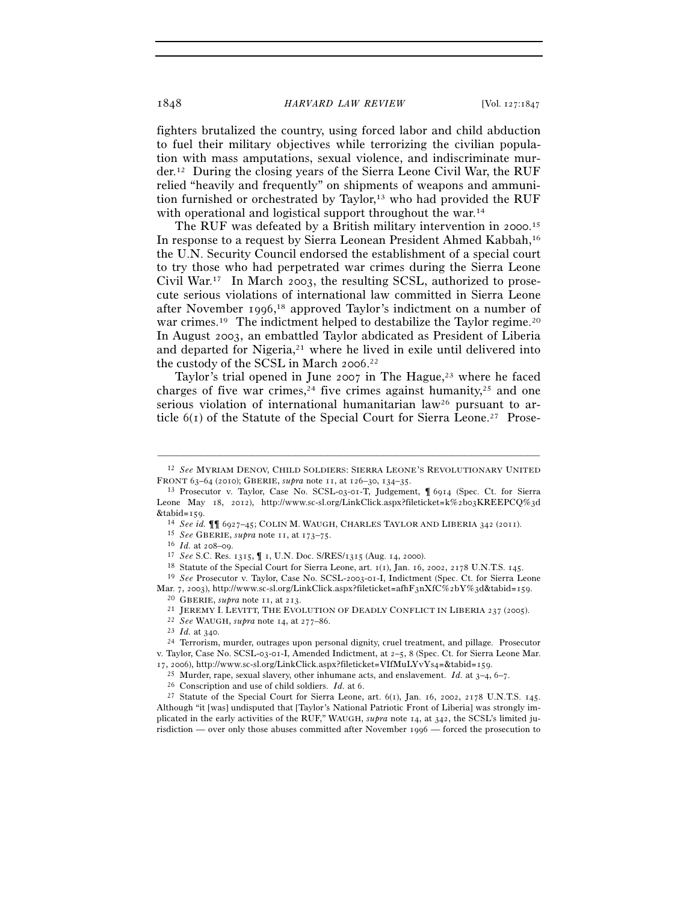## 1848 *HARVARD LAW REVIEW* [Vol. 127:1847

fighters brutalized the country, using forced labor and child abduction to fuel their military objectives while terrorizing the civilian population with mass amputations, sexual violence, and indiscriminate murder.12 During the closing years of the Sierra Leone Civil War, the RUF relied "heavily and frequently" on shipments of weapons and ammunition furnished or orchestrated by Taylor,<sup>13</sup> who had provided the RUF with operational and logistical support throughout the war.<sup>14</sup>

The RUF was defeated by a British military intervention in 2000. 15 In response to a request by Sierra Leonean President Ahmed Kabbah,16 the U.N. Security Council endorsed the establishment of a special court to try those who had perpetrated war crimes during the Sierra Leone Civil War.17 In March 2003, the resulting SCSL, authorized to prosecute serious violations of international law committed in Sierra Leone after November 1996, 18 approved Taylor's indictment on a number of war crimes.<sup>19</sup> The indictment helped to destabilize the Taylor regime.<sup>20</sup> In August 2003, an embattled Taylor abdicated as President of Liberia and departed for Nigeria, $21$  where he lived in exile until delivered into the custody of the SCSL in March 2006. 22

Taylor's trial opened in June 2007 in The Hague,<sup>23</sup> where he faced charges of five war crimes,<sup>24</sup> five crimes against humanity,<sup>25</sup> and one serious violation of international humanitarian law<sup>26</sup> pursuant to article  $6(1)$  of the Statute of the Special Court for Sierra Leone.<sup>27</sup> Prose-

<sup>–––––––––––––––––––––––––––––––––––––––––––––––––––––––––––––</sup> 12 *See* MYRIAM DENOV, CHILD SOLDIERS: SIERRA LEONE'S REVOLUTIONARY UNITED FRONT 63–64 (2010); GBERIE, *supra* note 11, at 126–30, 134–35.<br><sup>13</sup> Prosecutor v. Taylor, Case No. SCSL-03-01-T, Judgement, ¶ 6914 (Spec. Ct. for Sierra

Leone May 18, 2012), http://www.sc-sl.org/LinkClick.aspx?fileticket=k%2b03KREEPCQ%3d&tabid=150.

<sup>&</sup>lt;sup>14</sup> See id.  $\P$  (927–45; COLIN M. WAUGH, CHARLES TAYLOR AND LIBERIA 342 (2011).<br>
<sup>15</sup> See GBERIE, *supra* note 11, at 173–75.<br>
<sup>16</sup> Id. at 208–09.<br>
<sup>17</sup> See S.C. Res. 1315,  $\P$  1, U.N. Doc. S/RES/1315 (Aug. 14, 2000).<br>
<sup></sup>

Mar. 7, 2003), http://www.sc-sl.org/LinkClick.aspx?fileticket=afhF3nXfC%2bY%3d&tabid=159.<br><sup>20</sup> GBERIE, *supra* note 11, at 213.<br><sup>21</sup> JEREMY I. LEVITT, THE EVOLUTION OF DEADLY CONFLICT IN LIBERIA 237 (2005).<br><sup>22</sup> *See* WAUG

v. Taylor, Case No. SCSL-03-01-I, Amended Indictment, at 2–5, 8 (Spec. Ct. for Sierra Leone Mar.

<sup>17, 2006),</sup> http://www.sc-sl.org/LinkClick.aspx?fileticket=VIfMuLYvYs4=&tabid=159.<br>
<sup>25</sup> Murder, rape, sexual slavery, other inhumane acts, and enslavement. *Id.* at 3–4, 6–7.<br>
<sup>26</sup> Conscription and use of child soldiers. Although "it [was] undisputed that [Taylor's National Patriotic Front of Liberia] was strongly implicated in the early activities of the RUF," WAUGH, *supra* note 14, at 342, the SCSL's limited jurisdiction — over only those abuses committed after November 1996 — forced the prosecution to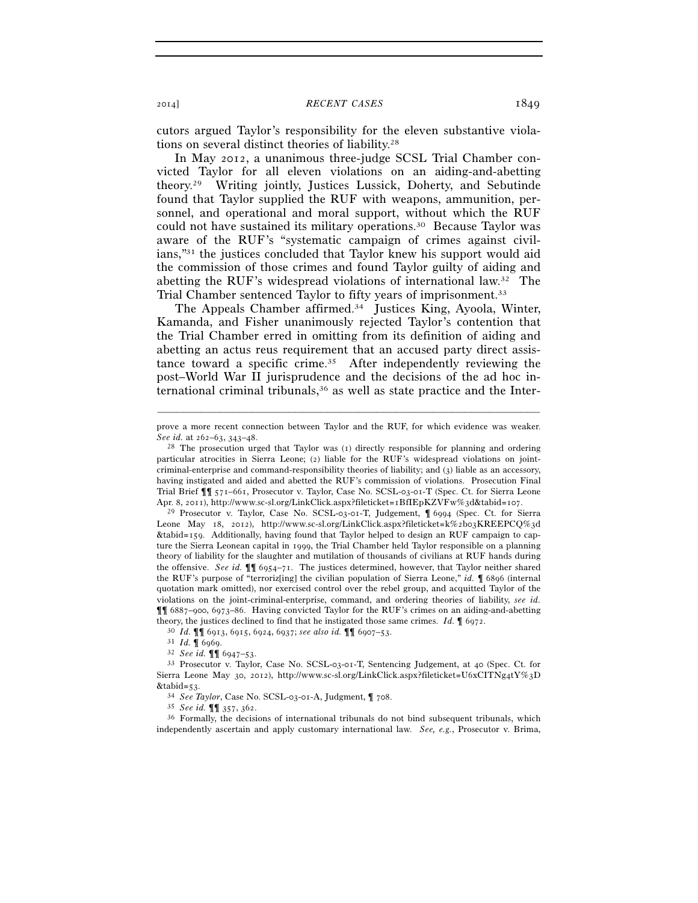cutors argued Taylor's responsibility for the eleven substantive violations on several distinct theories of liability.28

In May 2012, a unanimous three-judge SCSL Trial Chamber convicted Taylor for all eleven violations on an aiding-and-abetting theory.29 Writing jointly, Justices Lussick, Doherty, and Sebutinde found that Taylor supplied the RUF with weapons, ammunition, personnel, and operational and moral support, without which the RUF could not have sustained its military operations.30 Because Taylor was aware of the RUF's "systematic campaign of crimes against civilians,"31 the justices concluded that Taylor knew his support would aid the commission of those crimes and found Taylor guilty of aiding and abetting the RUF's widespread violations of international law.32 The Trial Chamber sentenced Taylor to fifty years of imprisonment.33

The Appeals Chamber affirmed.<sup>34</sup> Justices King, Ayoola, Winter, Kamanda, and Fisher unanimously rejected Taylor's contention that the Trial Chamber erred in omitting from its definition of aiding and abetting an actus reus requirement that an accused party direct assistance toward a specific crime.35 After independently reviewing the post–World War II jurisprudence and the decisions of the ad hoc international criminal tribunals,36 as well as state practice and the Inter-

Leone May 18, 2012), http://www.sc-sl.org/LinkClick.aspx?fileticket=k%2b03KREEPCQ%3d &tabid=159. Additionally, having found that Taylor helped to design an RUF campaign to capture the Sierra Leonean capital in 1999, the Trial Chamber held Taylor responsible on a planning theory of liability for the slaughter and mutilation of thousands of civilians at RUF hands during the offensive. *See id.* ¶¶ 6954–71. The justices determined, however, that Taylor neither shared the RUF's purpose of "terroriz[ing] the civilian population of Sierra Leone," *id.* ¶ 6896 (internal quotation mark omitted), nor exercised control over the rebel group, and acquitted Taylor of the violations on the joint-criminal-enterprise, command, and ordering theories of liability, *see id.* ¶¶ 6887–900, 6973–86. Having convicted Taylor for the RUF's crimes on an aiding-and-abetting theory, the justices declined to find that he instigated those same crimes. *Id.*  $\P$  6972.<br><sup>30</sup> *Id.*  $\P$  6913, 6915, 6924, 6937; *see also id.*  $\P$  $\P$  6907-53.<br><sup>31</sup> *Id.*  $\P$  6969.<br><sup>32</sup> *See id.*  $\P$  $\P$  6947-53.<br><sup>33</sup> Pr

independently ascertain and apply customary international law. *See, e.g.*, Prosecutor v. Brima,

<sup>–––––––––––––––––––––––––––––––––––––––––––––––––––––––––––––</sup> prove a more recent connection between Taylor and the RUF, for which evidence was weaker. *See id.* at 262–63, 343–48.<br><sup>28</sup> The prosecution urged that Taylor was (1) directly responsible for planning and ordering

particular atrocities in Sierra Leone; (2) liable for the RUF's widespread violations on jointcriminal-enterprise and command-responsibility theories of liability; and (3) liable as an accessory, having instigated and aided and abetted the RUF's commission of violations. Prosecution Final Trial Brief ¶¶ 571–661, Prosecutor v. Taylor, Case No. SCSL-03-01-T (Spec. Ct. for Sierra Leone Apr. 8, 2011), http://www.sc-sl.org/LinkClick.aspx?fileticket=1BfIEpKZVFw%3d&tabid=107.<br><sup>29</sup> Prosecutor v. Taylor, Case No. SCSL-03-01-T, Judgement, ¶ 6994 (Spec. Ct. for Sierra

Sierra Leone May 30, 2012), http://www.sc-sl.org/LinkClick.aspx?fileticket=U6xCITNg4tY%3D &tabid=53. 34 *See Taylor*, Case No. SCSL-03-01-A, Judgment, ¶ 708. 35 *See id.* ¶¶ 357, 362. 36 Formally, the decisions of international tribunals do not bind subsequent tribunals, which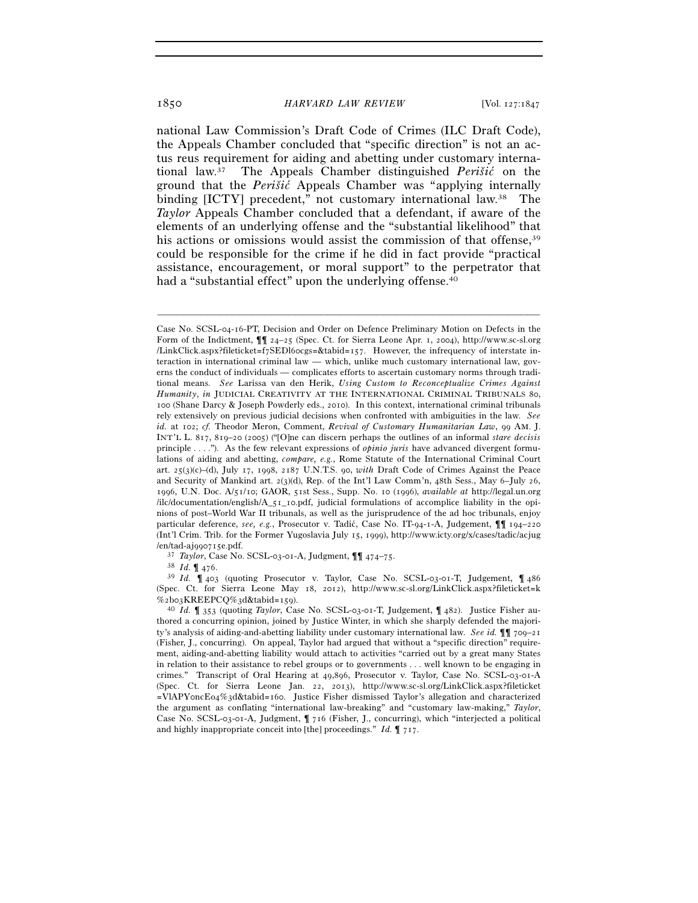national Law Commission's Draft Code of Crimes (ILC Draft Code), the Appeals Chamber concluded that "specific direction" is not an actus reus requirement for aiding and abetting under customary international law.37 The Appeals Chamber distinguished *Perišic´* on the ground that the *Perišic´* Appeals Chamber was "applying internally binding [ICTY] precedent," not customary international law.<sup>38</sup> The *Taylor* Appeals Chamber concluded that a defendant, if aware of the elements of an underlying offense and the "substantial likelihood" that his actions or omissions would assist the commission of that offense, 39 could be responsible for the crime if he did in fact provide "practical assistance, encouragement, or moral support" to the perpetrator that had a "substantial effect" upon the underlying offense.<sup>40</sup>

–––––––––––––––––––––––––––––––––––––––––––––––––––––––––––––

/en/tad-aj990715e.pdf. 37 *Taylor*, Case No. SCSL-03-01-A, Judgment, ¶¶ 474–75. 38 *Id.* ¶ 476. 39 *Id.* ¶ 403 (quoting Prosecutor v. Taylor, Case No. SCSL-03-01-T, Judgement, ¶ <sup>486</sup> (Spec. Ct. for Sierra Leone May 18, 2012), http://www.sc-sl.org/LinkClick.aspx?fileticket=k %2b03KREEPCQ%3d&tabid=159). 40 *Id.* ¶ 353 (quoting *Taylor*, Case No. SCSL-03-01-T, Judgement, ¶ 482). Justice Fisher au-

thored a concurring opinion, joined by Justice Winter, in which she sharply defended the majority's analysis of aiding-and-abetting liability under customary international law. *See id.* ¶¶ 709–21 (Fisher, J., concurring). On appeal, Taylor had argued that without a "specific direction" requirement, aiding-and-abetting liability would attach to activities "carried out by a great many States in relation to their assistance to rebel groups or to governments . . . well known to be engaging in crimes." Transcript of Oral Hearing at 49,896, Prosecutor v. Taylor, Case No. SCSL-03-01-A (Spec. Ct. for Sierra Leone Jan. 22, 2013), http://www.sc-sl.org/LinkClick.aspx?fileticket =VlAPY0ncEo4%3d&tabid=160. Justice Fisher dismissed Taylor's allegation and characterized the argument as conflating "international law-breaking" and "customary law-making," *Taylor*, Case No. SCSL-03-01-A, Judgment, ¶ 716 (Fisher, J., concurring), which "interjected a political and highly inappropriate conceit into [the] proceedings." *Id.* ¶ 717.

Case No. SCSL-04-16-PT, Decision and Order on Defence Preliminary Motion on Defects in the Form of the Indictment, ¶¶ 24–25 (Spec. Ct. for Sierra Leone Apr. 1, 2004), http://www.sc-sl.org /LinkClick.aspx?fileticket=f7SEDl60cgs=&tabid=157. However, the infrequency of interstate interaction in international criminal law — which, unlike much customary international law, governs the conduct of individuals — complicates efforts to ascertain customary norms through traditional means. *See* Larissa van den Herik, *Using Custom to Reconceptualize Crimes Against Humanity*, *in* JUDICIAL CREATIVITY AT THE INTERNATIONAL CRIMINAL TRIBUNALS 80, 100 (Shane Darcy & Joseph Powderly eds., 2010). In this context, international criminal tribunals rely extensively on previous judicial decisions when confronted with ambiguities in the law. *See id.* at 102; *cf.* Theodor Meron, Comment, *Revival of Customary Humanitarian Law*, 99 AM. J. INT'L L. 817, 819–20 (2005) ("[O]ne can discern perhaps the outlines of an informal *stare decisis* principle . . . ."). As the few relevant expressions of *opinio juris* have advanced divergent formulations of aiding and abetting, *compare, e.g.*, Rome Statute of the International Criminal Court art. 25(3)(c)–(d), July 17, 1998, 2187 U.N.T.S. 90, *with* Draft Code of Crimes Against the Peace and Security of Mankind art. 2(3)(d), Rep. of the Int'l Law Comm'n, 48th Sess., May 6–July 26, 1996, U.N. Doc. A/51/10; GAOR, 51st Sess., Supp. No. 10 (1996), *available at* http://legal.un.org /ilc/documentation/english/A\_51\_10.pdf, judicial formulations of accomplice liability in the opinions of post–World War II tribunals, as well as the jurisprudence of the ad hoc tribunals, enjoy particular deference, *see, e.g.*, Prosecutor v. Tadić, Case No. IT-94-1-A, Judgement, **¶** 194–220 (Int'l Crim. Trib. for the Former Yugoslavia July 15, 1999), http://www.icty.org/x/cases/tadic/acjug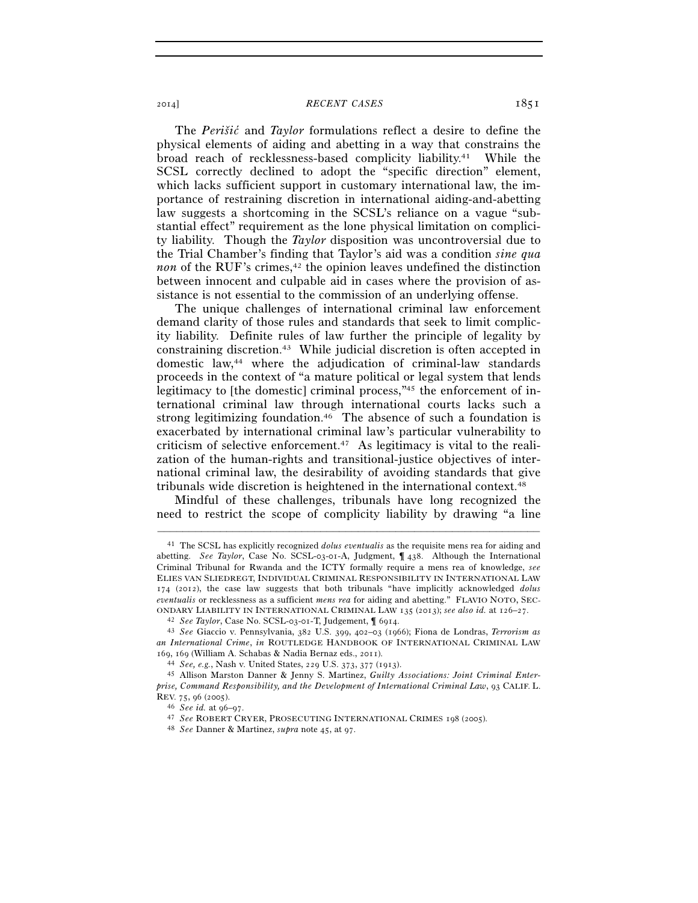## 2014] *RECENT CASES* 1851

The *Perišic´* and *Taylor* formulations reflect a desire to define the physical elements of aiding and abetting in a way that constrains the broad reach of recklessness-based complicity liability.41 While the SCSL correctly declined to adopt the "specific direction" element, which lacks sufficient support in customary international law, the importance of restraining discretion in international aiding-and-abetting law suggests a shortcoming in the SCSL's reliance on a vague "substantial effect" requirement as the lone physical limitation on complicity liability. Though the *Taylor* disposition was uncontroversial due to the Trial Chamber's finding that Taylor's aid was a condition *sine qua non* of the RUF's crimes, $42$  the opinion leaves undefined the distinction between innocent and culpable aid in cases where the provision of assistance is not essential to the commission of an underlying offense.

The unique challenges of international criminal law enforcement demand clarity of those rules and standards that seek to limit complicity liability. Definite rules of law further the principle of legality by constraining discretion.43 While judicial discretion is often accepted in domestic law,44 where the adjudication of criminal-law standards proceeds in the context of "a mature political or legal system that lends legitimacy to [the domestic] criminal process,"<sup>45</sup> the enforcement of international criminal law through international courts lacks such a strong legitimizing foundation.<sup>46</sup> The absence of such a foundation is exacerbated by international criminal law's particular vulnerability to criticism of selective enforcement.47 As legitimacy is vital to the realization of the human-rights and transitional-justice objectives of international criminal law, the desirability of avoiding standards that give tribunals wide discretion is heightened in the international context.48

Mindful of these challenges, tribunals have long recognized the need to restrict the scope of complicity liability by drawing "a line

–––––––––––––––––––––––––––––––––––––––––––––––––––––––––––––

<sup>41</sup> The SCSL has explicitly recognized *dolus eventualis* as the requisite mens rea for aiding and abetting. *See Taylor*, Case No. SCSL-03-01-A, Judgment, ¶ 438. Although the International Criminal Tribunal for Rwanda and the ICTY formally require a mens rea of knowledge, *see* ELIES VAN SLIEDREGT, INDIVIDUAL CRIMINAL RESPONSIBILITY IN INTERNATIONAL LAW 174 (2012), the case law suggests that both tribunals "have implicitly acknowledged *dolus eventualis* or recklessness as a sufficient *mens rea* for aiding and abetting." FLAVIO NOTO, SEC-ONDARY LIABILITY IN INTERNATIONAL CRIMINAL LAW 135 (2013); see also id. at 126–27.<br><sup>42</sup> See Taylor, Case No. SCSL-03-01-T, Judgement,  $\parallel$  6914.<br><sup>43</sup> See Giaccio v. Pennsylvania, 382 U.S. 399, 402–03 (1966); Fiona de Londr

*an International Crime*, *in* ROUTLEDGE HANDBOOK OF INTERNATIONAL CRIMINAL LAW <sup>169</sup>, 169 (William A. Schabas & Nadia Bernaz eds., 2011). 44 *See, e.g.*, Nash v. United States, 229 U.S. 373, 377 (1913). 45 Allison Marston Danner & Jenny S. Martinez, *Guilty Associations: Joint Criminal Enter-*

*prise, Command Responsibility, and the Development of International Criminal Law*, 93 CALIF. L. REV. 75, 96 (2005). 46 *See id.* at 96–97. 47 *See* ROBERT CRYER, PROSECUTING INTERNATIONAL CRIMES <sup>198</sup> (2005). 48 *See* Danner & Martinez, *supra* note 45, at 97.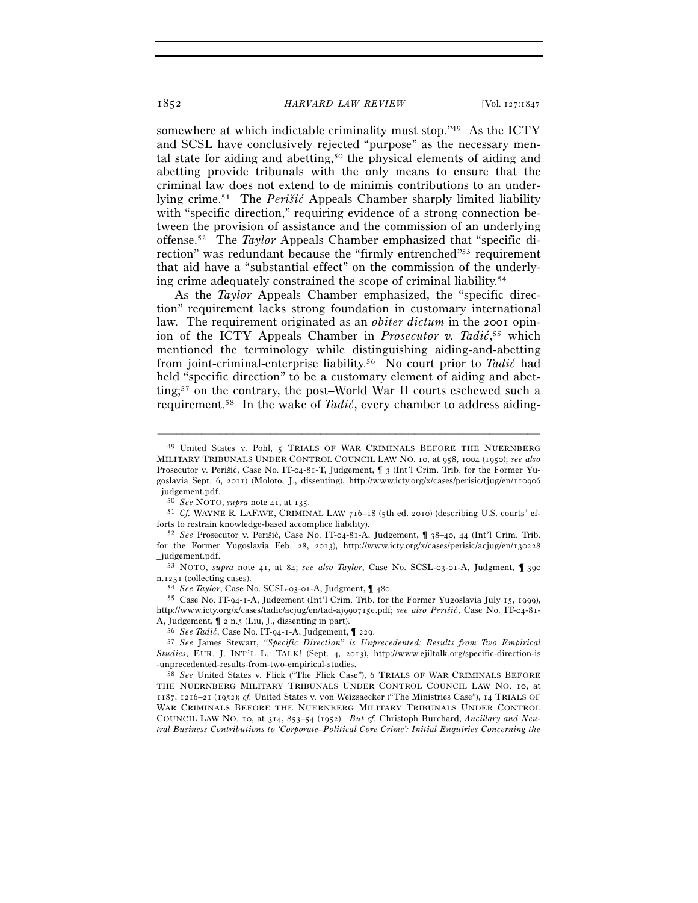somewhere at which indictable criminality must stop."49 As the ICTY and SCSL have conclusively rejected "purpose" as the necessary mental state for aiding and abetting,50 the physical elements of aiding and abetting provide tribunals with the only means to ensure that the criminal law does not extend to de minimis contributions to an underlying crime.51 The *Perišic´* Appeals Chamber sharply limited liability with "specific direction," requiring evidence of a strong connection between the provision of assistance and the commission of an underlying offense.52 The *Taylor* Appeals Chamber emphasized that "specific direction" was redundant because the "firmly entrenched"<sup>53</sup> requirement that aid have a "substantial effect" on the commission of the underlying crime adequately constrained the scope of criminal liability.54

As the *Taylor* Appeals Chamber emphasized, the "specific direction" requirement lacks strong foundation in customary international law. The requirement originated as an *obiter dictum* in the 2001 opinion of the ICTY Appeals Chamber in *Prosecutor v. Tadić*,<sup>55</sup> which mentioned the terminology while distinguishing aiding-and-abetting from joint-criminal-enterprise liability.56 No court prior to *Tadic´* had held "specific direction" to be a customary element of aiding and abetting;57 on the contrary, the post–World War II courts eschewed such a requirement.58 In the wake of *Tadic´*, every chamber to address aiding-

–––––––––––––––––––––––––––––––––––––––––––––––––––––––––––––

<sup>49</sup> United States v. Pohl, 5 TRIALS OF WAR CRIMINALS BEFORE THE NUERNBERG MILITARY TRIBUNALS UNDER CONTROL COUNCIL LAW NO. 10, at 958, 1004 (1950); *see also* Prosecutor v. Perišić, Case No. IT-04-81-T, Judgement,  $\int$  3 (Int'l Crim. Trib. for the Former Yugoslavia Sept. 6, 2011) (Moloto, J., dissenting), http://www.icty.org/x/cases/perisic/tjug/en/110906

\_judgement.pdf. 50 *See* NOTO, *supra* note 41, at 135. 51 *Cf.* WAYNE R. LAFAVE, CRIMINAL LAW <sup>716</sup>–18 (5th ed. 2010) (describing U.S. courts' efforts to restrain knowledge-based accomplice liability).<br><sup>52</sup> *See* Prosecutor v. Perišić, Case No. IT-04-81-A, Judgement, ¶ 38–40, 44 (Int'l Crim. Trib.

for the Former Yugoslavia Feb. 28, 2013), http://www.icty.org/x/cases/perisic/acjug/en/130228 \_judgement.pdf. 53 NOTO, *supra* note 41, at 84; *see also Taylor*, Case No. SCSL-03-01-A, Judgment, ¶ <sup>390</sup>

n.1231 (collecting cases).<br><sup>54</sup> *See Taylor*, Case No. SCSL-03-01-A, Judgment, ¶ 480.<br><sup>55</sup> Case No. IT-94-1-A, Judgement (Int'l Crim. Trib. for the Former Yugoslavia July 15, 1999),

http://www.icty.org/x/cases/tadic/acjug/en/tad-aj990715e.pdf; *see also Perišic´*, Case No. IT-04-81- A, Judgement,  $\P$  2 n.5 (Liu, J., dissenting in part).<br>
<sup>56</sup> See Tadić, Case No. IT-94-1-A, Judgement,  $\P$  229.<br>
<sup>57</sup> See James Stewart, *"Specific Direction" is Unprecedented: Results from Two Empirical* 

*Studies*, EUR. J. INT'L L.: TALK! (Sept. 4, 2013), http://www.ejiltalk.org/specific-direction-is -unprecedented-results-from-two-empirical-studies. 58 *See* United States v. Flick ("The Flick Case"), 6 TRIALS OF WAR CRIMINALS BEFORE

THE NUERNBERG MILITARY TRIBUNALS UNDER CONTROL COUNCIL LAW NO. 10, at 1187, 1216–21 (1952); *cf.* United States v. von Weizsaecker ("The Ministries Case"), 14 TRIALS OF WAR CRIMINALS BEFORE THE NUERNBERG MILITARY TRIBUNALS UNDER CONTROL COUNCIL LAW NO. 10, at 314, 853–54 (1952). *But cf.* Christoph Burchard, *Ancillary and Neutral Business Contributions to 'Corporate–Political Core Crime': Initial Enquiries Concerning the*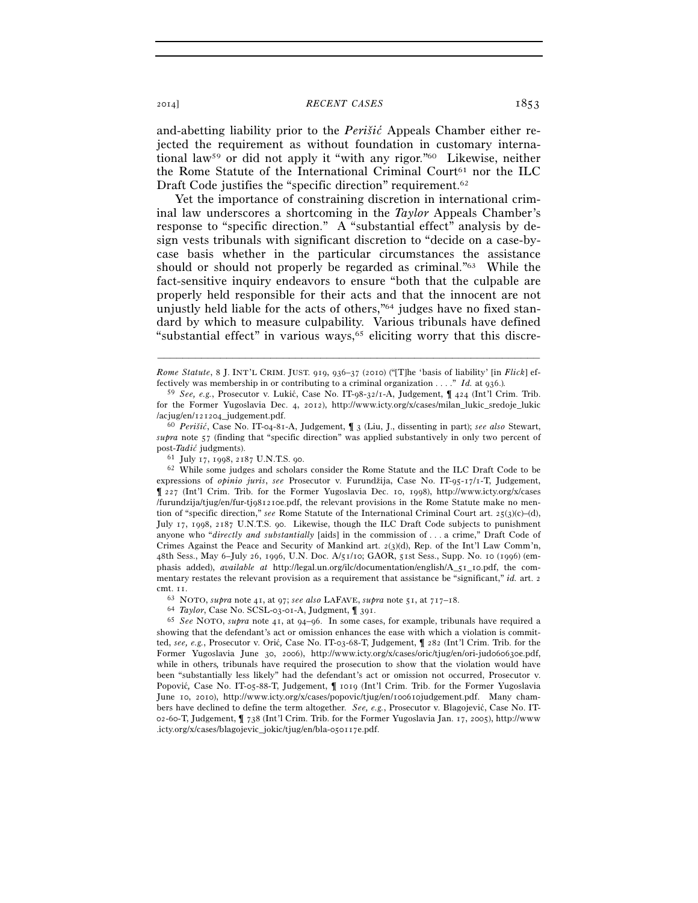2014] *RECENT CASES* 1853

and-abetting liability prior to the *Perišic´* Appeals Chamber either rejected the requirement as without foundation in customary international law59 or did not apply it "with any rigor."60 Likewise, neither the Rome Statute of the International Criminal Court<sup>61</sup> nor the ILC Draft Code justifies the "specific direction" requirement.<sup>62</sup>

Yet the importance of constraining discretion in international criminal law underscores a shortcoming in the *Taylor* Appeals Chamber's response to "specific direction." A "substantial effect" analysis by design vests tribunals with significant discretion to "decide on a case-bycase basis whether in the particular circumstances the assistance should or should not properly be regarded as criminal."63 While the fact-sensitive inquiry endeavors to ensure "both that the culpable are properly held responsible for their acts and that the innocent are not unjustly held liable for the acts of others,"64 judges have no fixed standard by which to measure culpability. Various tribunals have defined "substantial effect" in various ways, $65$  eliciting worry that this discre-

expressions of *opinio juris*, *see* Prosecutor v. Furundžija, Case No. IT-95-17/1-T, Judgement, ¶ 227 (Int'l Crim. Trib. for the Former Yugoslavia Dec. 10, 1998), http://www.icty.org/x/cases /furundzija/tjug/en/fur-tj981210e.pdf, the relevant provisions in the Rome Statute make no mention of "specific direction," *see* Rome Statute of the International Criminal Court art. 25(3)(c)–(d), July 17, 1998, 2187 U.N.T.S. 90. Likewise, though the ILC Draft Code subjects to punishment anyone who "*directly and substantially* [aids] in the commission of . . . a crime," Draft Code of Crimes Against the Peace and Security of Mankind art.  $2(3)(d)$ , Rep. of the Int'l Law Comm'n, 48th Sess., May 6–July 26, 1996, U.N. Doc. A/51/10; GAOR, 51st Sess., Supp. No. 10 (1996) (emphasis added), *available at* http://legal.un.org/ilc/documentation/english/A\_51\_10.pdf, the commentary restates the relevant provision as a requirement that assistance be "significant," *id.* art. 2

cmt. 11.<br>
<sup>63</sup> NOTO, *supra* note 41, at 97; *see also* LAFAVE, *supra* note 51, at 717–18.<br>
<sup>64</sup> Taylor, Case No. SCSL-03-01-A, Judgment,  $\parallel$  391.<br>
<sup>65</sup> See NOTO, *supra* note 41, at 94–96. In some cases, for example, t showing that the defendant's act or omission enhances the ease with which a violation is committed, *see, e.g.*, Prosecutor v. Oric´*,* Case No. IT-03-68-T, Judgement, ¶ 282 (Int'l Crim. Trib. for the Former Yugoslavia June 30, 2006), http://www.icty.org/x/cases/oric/tjug/en/ori-jud060630e.pdf, while in others*,* tribunals have required the prosecution to show that the violation would have been "substantially less likely" had the defendant's act or omission not occurred, Prosecutor v. Popović, Case No. IT-05-88-T, Judgement,  $\parallel$  1019 (Int'l Crim. Trib. for the Former Yugoslavia June 10, 2010), http://www.icty.org/x/cases/popovic/tjug/en/100610judgement.pdf. Many chambers have declined to define the term altogether. *See, e.g.*, Prosecutor v. Blagojević, Case No. IT-02-60-T, Judgement, ¶ 738 (Int'l Crim. Trib. for the Former Yugoslavia Jan. 17, 2005), http://www .icty.org/x/cases/blagojevic\_jokic/tjug/en/bla-050117e.pdf.

<sup>–––––––––––––––––––––––––––––––––––––––––––––––––––––––––––––</sup> *Rome Statute*, 8 J. INT'L CRIM. JUST. 919, 936–37 (2010) ("[T]he 'basis of liability' [in *Flick*] effectively was membership in or contributing to a criminal organization . . . ." *Id.* at 936.)*.*

<sup>&</sup>lt;sup>59</sup> *See, e.g.*, Prosecutor v. Lukić, Case No. IT-98-32/1-A, Judgement,  $\int$  424 (Int'l Crim. Trib. for the Former Yugoslavia Dec. 4, 2012), http://www.icty.org/x/cases/milan\_lukic\_sredoje\_lukic /acjug/en/121204\_judgement.pdf. 60 *Perišic´*, Case No. IT-04-81-A, Judgement, ¶ 3 (Liu, J., dissenting in part); *see also* Stewart,

*supra* note 57 (finding that "specific direction" was applied substantively in only two percent of post-*Tadic*<sup>†</sup> judgments).<br><sup>61</sup> July 17, 1998, 2187 U.N.T.S. 90.<br><sup>62</sup> While some judges and scholars consider the Rome Statute and the ILC Draft Code to be